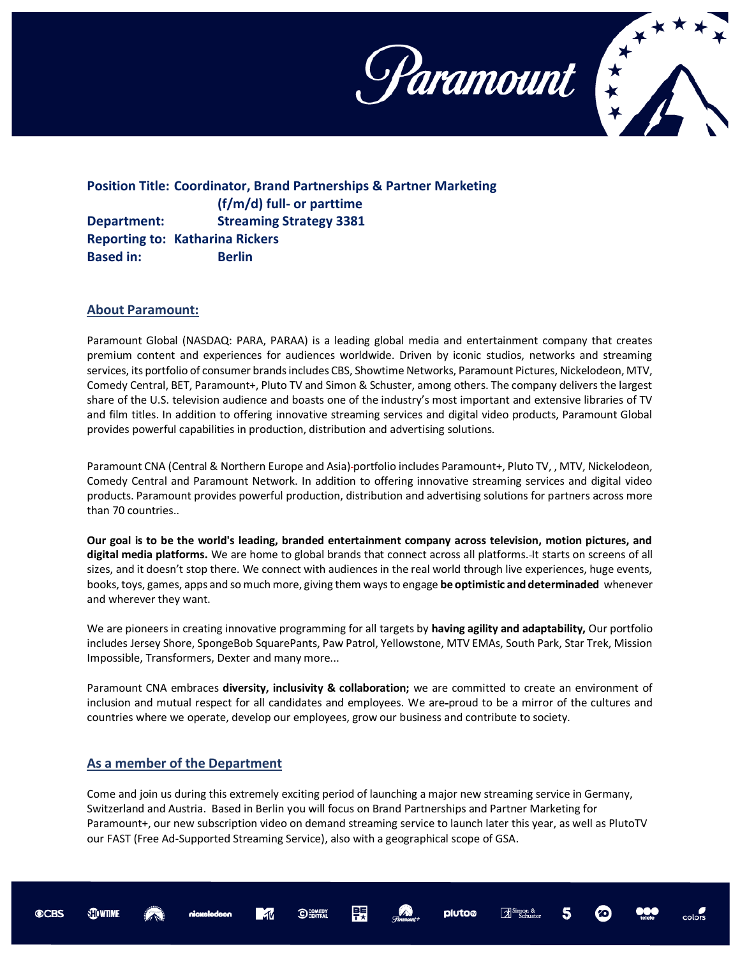

**Position Title: Coordinator, Brand Partnerships & Partner Marketing (f/m/d) full- or parttime Department: Streaming Strategy 3381 Reporting to: Katharina Rickers Based in:** Berlin

## **About Paramount:**

Paramount Global (NASDAQ: PARA, PARAA) is a leading global media and entertainment company that creates premium content and experiences for audiences worldwide. Driven by iconic studios, networks and streaming services, its portfolio of consumer brands includes CBS, Showtime Networks, Paramount Pictures, Nickelodeon, MTV, Comedy Central, BET, Paramount+, Pluto TV and Simon & Schuster, among others. The company delivers the largest share of the U.S. television audience and boasts one of the industry's most important and extensive libraries of TV and film titles. In addition to offering innovative streaming services and digital video products, Paramount Global provides powerful capabilities in production, distribution and advertising solutions.

Paramount CNA (Central & Northern Europe and Asia) portfolio includes Paramount+, Pluto TV, , MTV, Nickelodeon, Comedy Central and Paramount Network. In addition to offering innovative streaming services and digital video products. Paramount provides powerful production, distribution and advertising solutions for partners across more than 70 countries..

**Our goal is to be the world's leading, branded entertainment company across television, motion pictures, and digital media platforms.** We are home to global brands that connect across all platforms. It starts on screens of all sizes, and it doesn't stop there. We connect with audiences in the real world through live experiences, huge events, books, toys, games, apps and so much more, giving them ways to engage **be optimistic and determinaded** whenever and wherever they want.

We are pioneers in creating innovative programming for all targets by **having agility and adaptability,** Our portfolio includes Jersey Shore, SpongeBob SquarePants, Paw Patrol, Yellowstone, MTV EMAs, South Park, Star Trek, Mission Impossible, Transformers, Dexter and many more...

Paramount CNA embraces **diversity, inclusivity & collaboration;** we are committed to create an environment of inclusion and mutual respect for all candidates and employees. We are-proud to be a mirror of the cultures and countries where we operate, develop our employees, grow our business and contribute to society.

## **As a member of the Department**

Come and join us during this extremely exciting period of launching a major new streaming service in Germany, Switzerland and Austria. Based in Berlin you will focus on Brand Partnerships and Partner Marketing for Paramount+, our new subscription video on demand streaming service to launch later this year, as well as PlutoTV our FAST (Free Ad-Supported Streaming Service), also with a geographical scope of GSA.

臩

pluto®

OCOMEDY

**STO WTIME**